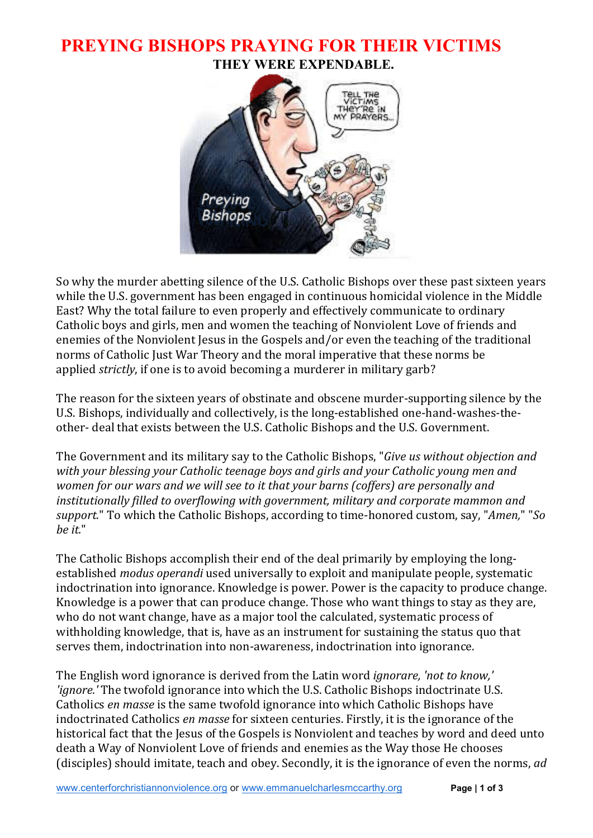### **PREYING BISHOPS PRAYING FOR THEIR VICTIMS THEY WERE EXPENDABLE.**



So why the murder abetting silence of the U.S. Catholic Bishops over these past sixteen years while the U.S. government has been engaged in continuous homicidal violence in the Middle East? Why the total failure to even properly and effectively communicate to ordinary Catholic boys and girls, men and women the teaching of Nonviolent Love of friends and enemies of the Nonviolent Jesus in the Gospels and/or even the teaching of the traditional norms of Catholic Just War Theory and the moral imperative that these norms be applied *strictly*, if one is to avoid becoming a murderer in military garb?

The reason for the sixteen years of obstinate and obscene murder-supporting silence by the U.S. Bishops, individually and collectively, is the long-established one-hand-washes-theother- deal that exists between the U.S. Catholic Bishops and the U.S. Government.

The Government and its military say to the Catholic Bishops, "*Give us without objection and with your blessing your Catholic teenage boys and girls and your Catholic young men and women for our wars and we will see to it that your barns (coffers) are personally and institutionally filled to overflowing with government, military and corporate mammon and support.*" To which the Catholic Bishops, according to time-honored custom, say, "*Amen,*" "*So be it.*"

The Catholic Bishops accomplish their end of the deal primarily by employing the longestablished *modus operandi* used universally to exploit and manipulate people, systematic indoctrination into ignorance. Knowledge is power. Power is the capacity to produce change. Knowledge is a power that can produce change. Those who want things to stay as they are, who do not want change, have as a major tool the calculated, systematic process of withholding knowledge, that is, have as an instrument for sustaining the status quo that serves them, indoctrination into non-awareness, indoctrination into ignorance.

The English word ignorance is derived from the Latin word *ignorare, 'not to know,' 'ignore.'* The twofold ignorance into which the U.S. Catholic Bishops indoctrinate U.S. Catholics *en masse* is the same twofold ignorance into which Catholic Bishops have indoctrinated Catholics *en masse* for sixteen centuries. Firstly, it is the ignorance of the historical fact that the Jesus of the Gospels is Nonviolent and teaches by word and deed unto death a Way of Nonviolent Love of friends and enemies as the Way those He chooses (disciples) should imitate, teach and obey. Secondly, it is the ignorance of even the norms, *ad*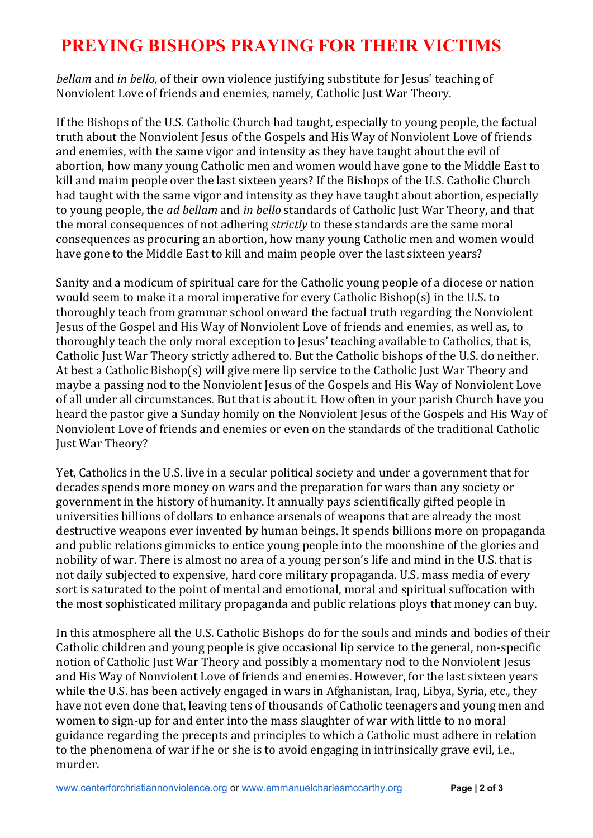# **PREYING BISHOPS PRAYING FOR THEIR VICTIMS**

*bellam* and *in bello,* of their own violence justifying substitute for Jesus' teaching of Nonviolent Love of friends and enemies, namely, Catholic Just War Theory.

If the Bishops of the U.S. Catholic Church had taught, especially to young people, the factual truth about the Nonviolent Jesus of the Gospels and His Way of Nonviolent Love of friends and enemies, with the same vigor and intensity as they have taught about the evil of abortion, how many young Catholic men and women would have gone to the Middle East to kill and maim people over the last sixteen years? If the Bishops of the U.S. Catholic Church had taught with the same vigor and intensity as they have taught about abortion, especially to young people, the *ad bellam* and *in bello* standards of Catholic Just War Theory, and that the moral consequences of not adhering *strictly* to these standards are the same moral consequences as procuring an abortion, how many young Catholic men and women would have gone to the Middle East to kill and maim people over the last sixteen years?

Sanity and a modicum of spiritual care for the Catholic young people of a diocese or nation would seem to make it a moral imperative for every Catholic Bishop(s) in the U.S. to thoroughly teach from grammar school onward the factual truth regarding the Nonviolent Jesus of the Gospel and His Way of Nonviolent Love of friends and enemies, as well as, to thoroughly teach the only moral exception to Jesus' teaching available to Catholics, that is, Catholic Just War Theory strictly adhered to. But the Catholic bishops of the U.S. do neither. At best a Catholic Bishop(s) will give mere lip service to the Catholic Just War Theory and maybe a passing nod to the Nonviolent Jesus of the Gospels and His Way of Nonviolent Love of all under all circumstances. But that is about it. How often in your parish Church have you heard the pastor give a Sunday homily on the Nonviolent Jesus of the Gospels and His Way of Nonviolent Love of friends and enemies or even on the standards of the traditional Catholic Just War Theory?

Yet, Catholics in the U.S. live in a secular political society and under a government that for decades spends more money on wars and the preparation for wars than any society or government in the history of humanity. It annually pays scientifically gifted people in universities billions of dollars to enhance arsenals of weapons that are already the most destructive weapons ever invented by human beings. It spends billions more on propaganda and public relations gimmicks to entice young people into the moonshine of the glories and nobility of war. There is almost no area of a young person's life and mind in the U.S. that is not daily subjected to expensive, hard core military propaganda. U.S. mass media of every sort is saturated to the point of mental and emotional, moral and spiritual suffocation with the most sophisticated military propaganda and public relations ploys that money can buy.

In this atmosphere all the U.S. Catholic Bishops do for the souls and minds and bodies of their Catholic children and young people is give occasional lip service to the general, non-specific notion of Catholic Just War Theory and possibly a momentary nod to the Nonviolent Jesus and His Way of Nonviolent Love of friends and enemies. However, for the last sixteen years while the U.S. has been actively engaged in wars in Afghanistan, Iraq, Libya, Syria, etc., they have not even done that, leaving tens of thousands of Catholic teenagers and young men and women to sign-up for and enter into the mass slaughter of war with little to no moral guidance regarding the precepts and principles to which a Catholic must adhere in relation to the phenomena of war if he or she is to avoid engaging in intrinsically grave evil, i.e., murder.